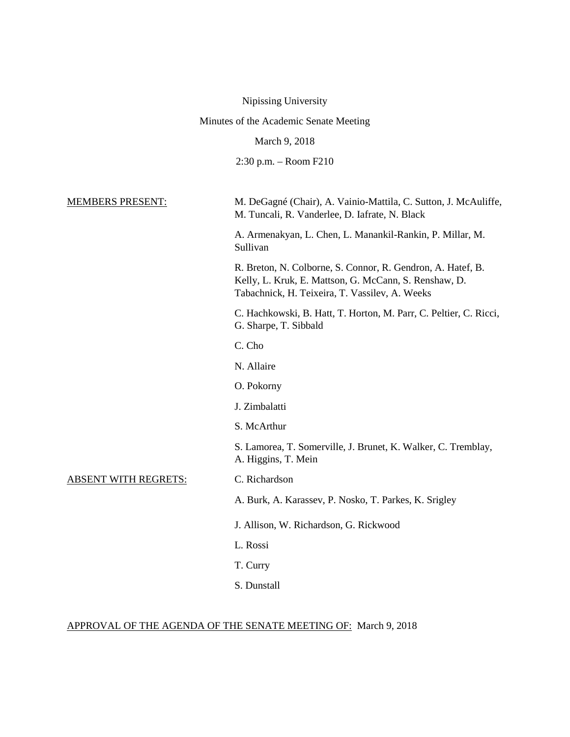Nipissing University

Minutes of the Academic Senate Meeting

March 9, 2018

2:30 p.m. – Room F210

MEMBERS PRESENT: M. DeGagné (Chair), A. Vainio-Mattila, C. Sutton, J. McAuliffe, M. Tuncali, R. Vanderlee, D. Iafrate, N. Black

> A. Armenakyan, L. Chen, L. Manankil-Rankin, P. Millar, M. Sullivan

> R. Breton, N. Colborne, S. Connor, R. Gendron, A. Hatef, B. Kelly, L. Kruk, E. Mattson, G. McCann, S. Renshaw, D. Tabachnick, H. Teixeira, T. Vassilev, A. Weeks

C. Hachkowski, B. Hatt, T. Horton, M. Parr, C. Peltier, C. Ricci, G. Sharpe, T. Sibbald

C. Cho

N. Allaire

O. Pokorny

J. Zimbalatti

S. McArthur

S. Lamorea, T. Somerville, J. Brunet, K. Walker, C. Tremblay, A. Higgins, T. Mein

ABSENT WITH REGRETS: C. Richardson

A. Burk, A. Karassev, P. Nosko, T. Parkes, K. Srigley

- J. Allison, W. Richardson, G. Rickwood
- L. Rossi
- T. Curry
- S. Dunstall

#### APPROVAL OF THE AGENDA OF THE SENATE MEETING OF: March 9, 2018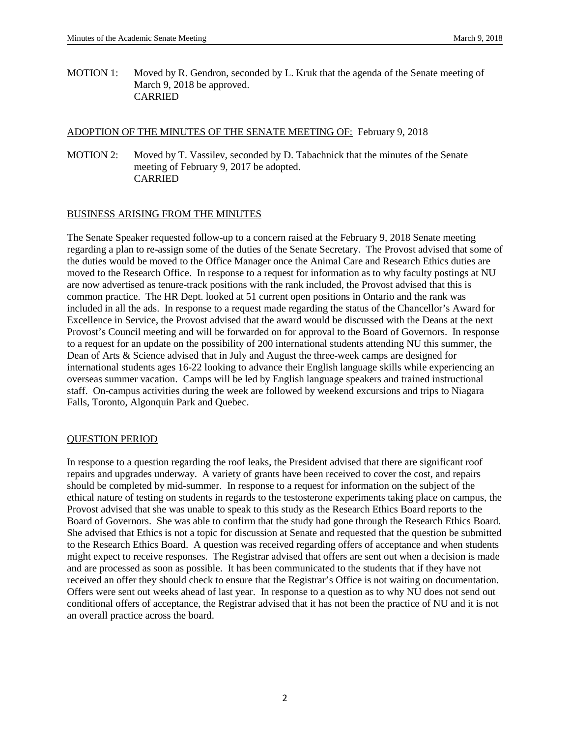MOTION 1: Moved by R. Gendron, seconded by L. Kruk that the agenda of the Senate meeting of March 9, 2018 be approved. CARRIED

## ADOPTION OF THE MINUTES OF THE SENATE MEETING OF: February 9, 2018

MOTION 2: Moved by T. Vassilev, seconded by D. Tabachnick that the minutes of the Senate meeting of February 9, 2017 be adopted. CARRIED

## BUSINESS ARISING FROM THE MINUTES

The Senate Speaker requested follow-up to a concern raised at the February 9, 2018 Senate meeting regarding a plan to re-assign some of the duties of the Senate Secretary. The Provost advised that some of the duties would be moved to the Office Manager once the Animal Care and Research Ethics duties are moved to the Research Office. In response to a request for information as to why faculty postings at NU are now advertised as tenure-track positions with the rank included, the Provost advised that this is common practice. The HR Dept. looked at 51 current open positions in Ontario and the rank was included in all the ads. In response to a request made regarding the status of the Chancellor's Award for Excellence in Service, the Provost advised that the award would be discussed with the Deans at the next Provost's Council meeting and will be forwarded on for approval to the Board of Governors. In response to a request for an update on the possibility of 200 international students attending NU this summer, the Dean of Arts & Science advised that in July and August the three-week camps are designed for international students ages 16-22 looking to advance their English language skills while experiencing an overseas summer vacation. Camps will be led by English language speakers and trained instructional staff. On-campus activities during the week are followed by weekend excursions and trips to Niagara Falls, Toronto, Algonquin Park and Quebec.

#### QUESTION PERIOD

In response to a question regarding the roof leaks, the President advised that there are significant roof repairs and upgrades underway. A variety of grants have been received to cover the cost, and repairs should be completed by mid-summer. In response to a request for information on the subject of the ethical nature of testing on students in regards to the testosterone experiments taking place on campus, the Provost advised that she was unable to speak to this study as the Research Ethics Board reports to the Board of Governors. She was able to confirm that the study had gone through the Research Ethics Board. She advised that Ethics is not a topic for discussion at Senate and requested that the question be submitted to the Research Ethics Board. A question was received regarding offers of acceptance and when students might expect to receive responses. The Registrar advised that offers are sent out when a decision is made and are processed as soon as possible. It has been communicated to the students that if they have not received an offer they should check to ensure that the Registrar's Office is not waiting on documentation. Offers were sent out weeks ahead of last year. In response to a question as to why NU does not send out conditional offers of acceptance, the Registrar advised that it has not been the practice of NU and it is not an overall practice across the board.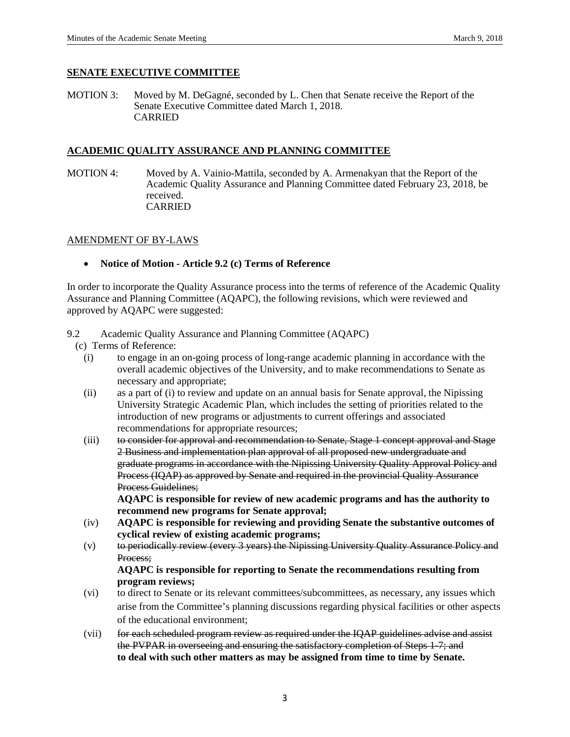## **SENATE EXECUTIVE COMMITTEE**

MOTION 3: Moved by M. DeGagné, seconded by L. Chen that Senate receive the Report of the Senate Executive Committee dated March 1, 2018. CARRIED

## **ACADEMIC QUALITY ASSURANCE AND PLANNING COMMITTEE**

MOTION 4: Moved by A. Vainio-Mattila, seconded by A. Armenakyan that the Report of the Academic Quality Assurance and Planning Committee dated February 23, 2018, be received. CARRIED

## AMENDMENT OF BY-LAWS

• **Notice of Motion - Article 9.2 (c) Terms of Reference**

In order to incorporate the Quality Assurance process into the terms of reference of the Academic Quality Assurance and Planning Committee (AQAPC), the following revisions, which were reviewed and approved by AQAPC were suggested:

## 9.2 Academic Quality Assurance and Planning Committee (AQAPC)

- (c) Terms of Reference:
	- (i) to engage in an on-going process of long-range academic planning in accordance with the overall academic objectives of the University, and to make recommendations to Senate as necessary and appropriate;
	- (ii) as a part of (i) to review and update on an annual basis for Senate approval, the Nipissing University Strategic Academic Plan, which includes the setting of priorities related to the introduction of new programs or adjustments to current offerings and associated recommendations for appropriate resources;
	- (iii) to consider for approval and recommendation to Senate, Stage 1 concept approval and Stage 2 Business and implementation plan approval of all proposed new undergraduate and graduate programs in accordance with the Nipissing University Quality Approval Policy and Process (IQAP) as approved by Senate and required in the provincial Quality Assurance Process Guidelines;

**AQAPC is responsible for review of new academic programs and has the authority to recommend new programs for Senate approval;**

- (iv) **AQAPC is responsible for reviewing and providing Senate the substantive outcomes of cyclical review of existing academic programs;**
- (v) to periodically review (every 3 years) the Nipissing University Quality Assurance Policy and Process;

## **AQAPC is responsible for reporting to Senate the recommendations resulting from program reviews;**

- (vi) to direct to Senate or its relevant committees/subcommittees, as necessary, any issues which arise from the Committee's planning discussions regarding physical facilities or other aspects of the educational environment;
- (vii) for each scheduled program review as required under the IQAP guidelines advise and assist the PVPAR in overseeing and ensuring the satisfactory completion of Steps 1-7; and **to deal with such other matters as may be assigned from time to time by Senate.**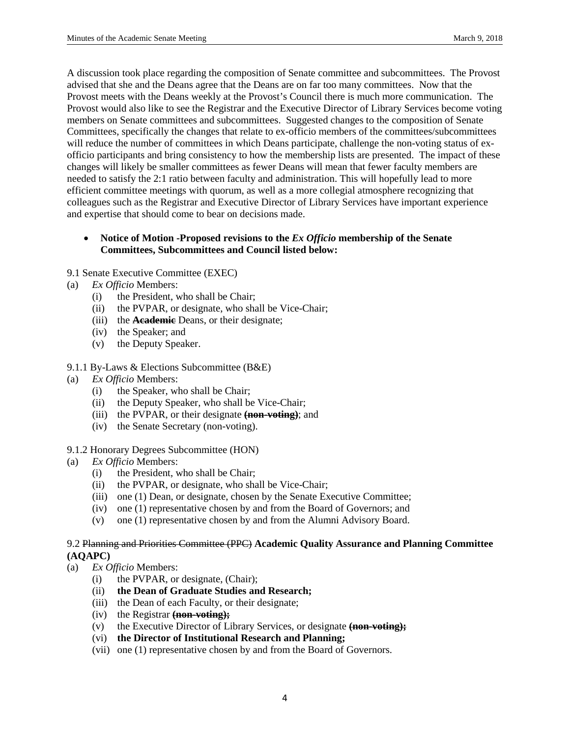A discussion took place regarding the composition of Senate committee and subcommittees. The Provost advised that she and the Deans agree that the Deans are on far too many committees. Now that the Provost meets with the Deans weekly at the Provost's Council there is much more communication. The Provost would also like to see the Registrar and the Executive Director of Library Services become voting members on Senate committees and subcommittees. Suggested changes to the composition of Senate Committees, specifically the changes that relate to ex-officio members of the committees/subcommittees will reduce the number of committees in which Deans participate, challenge the non-voting status of exofficio participants and bring consistency to how the membership lists are presented. The impact of these changes will likely be smaller committees as fewer Deans will mean that fewer faculty members are needed to satisfy the 2:1 ratio between faculty and administration. This will hopefully lead to more efficient committee meetings with quorum, as well as a more collegial atmosphere recognizing that colleagues such as the Registrar and Executive Director of Library Services have important experience and expertise that should come to bear on decisions made.

## • **Notice of Motion -Proposed revisions to the** *Ex Officio* **membership of the Senate Committees, Subcommittees and Council listed below:**

## 9.1 Senate Executive Committee (EXEC)

- (a) *Ex Officio* Members:
	- (i) the President, who shall be Chair;
	- (ii) the PVPAR, or designate, who shall be Vice-Chair;
	- (iii) the **Academic** Deans, or their designate;
	- (iv) the Speaker; and
	- (v) the Deputy Speaker.
- 9.1.1 By-Laws & Elections Subcommittee (B&E)
- (a) *Ex Officio* Members:
	- (i) the Speaker, who shall be Chair;
	- (ii) the Deputy Speaker, who shall be Vice-Chair;
	- (iii) the PVPAR, or their designate **(non-voting)**; and
	- (iv) the Senate Secretary (non-voting).
- 9.1.2 Honorary Degrees Subcommittee (HON)
- (a) *Ex Officio* Members:
	- (i) the President, who shall be Chair;
	- (ii) the PVPAR, or designate, who shall be Vice-Chair;
	- (iii) one (1) Dean, or designate, chosen by the Senate Executive Committee;
	- (iv) one (1) representative chosen by and from the Board of Governors; and
	- (v) one (1) representative chosen by and from the Alumni Advisory Board.

#### 9.2 Planning and Priorities Committee (PPC) **Academic Quality Assurance and Planning Committee (AQAPC)**

- (a) *Ex Officio* Members:
	- (i) the PVPAR, or designate, (Chair);
	- (ii) **the Dean of Graduate Studies and Research;**
	- (iii) the Dean of each Faculty, or their designate;
	- (iv) the Registrar **(non-voting);**
	- (v) the Executive Director of Library Services, or designate **(non-voting);**
	- (vi) **the Director of Institutional Research and Planning;**
	- (vii) one (1) representative chosen by and from the Board of Governors.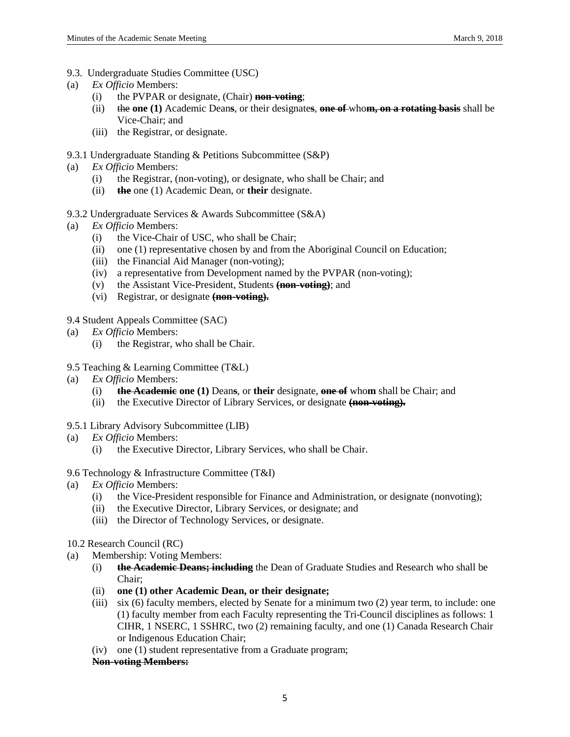- 9.3. Undergraduate Studies Committee (USC)
- (a) *Ex Officio* Members:
	- (i) the PVPAR or designate, (Chair) **non-voting**;
	- (ii) the **one (1)** Academic Dean**s**, or their designate**s**, **one of** who**m, on a rotating basis** shall be Vice-Chair; and
	- (iii) the Registrar, or designate.
- 9.3.1 Undergraduate Standing & Petitions Subcommittee (S&P)
- (a) *Ex Officio* Members:
	- (i) the Registrar, (non-voting), or designate, who shall be Chair; and
	- (ii) **the** one (1) Academic Dean, or **their** designate.
- 9.3.2 Undergraduate Services & Awards Subcommittee (S&A)
- (a) *Ex Officio* Members:
	- (i) the Vice-Chair of USC, who shall be Chair;
	- (ii) one (1) representative chosen by and from the Aboriginal Council on Education;
	- (iii) the Financial Aid Manager (non-voting);
	- (iv) a representative from Development named by the PVPAR (non-voting);
	- (v) the Assistant Vice-President, Students **(non-voting)**; and
	- (vi) Registrar, or designate **(non-voting).**
- 9.4 Student Appeals Committee (SAC)
- (a) *Ex Officio* Members:
	- (i) the Registrar, who shall be Chair.
- 9.5 Teaching & Learning Committee (T&L)
- (a) *Ex Officio* Members:
	- (i) **the Academic one (1)** Dean**s**, or **their** designate, **one of** who**m** shall be Chair; and
	- (ii) the Executive Director of Library Services, or designate **(non-voting).**
- 9.5.1 Library Advisory Subcommittee (LIB)
- (a) *Ex Officio* Members:
	- (i) the Executive Director, Library Services, who shall be Chair.
- 9.6 Technology & Infrastructure Committee (T&I)
- (a) *Ex Officio* Members:
	- (i) the Vice-President responsible for Finance and Administration, or designate (nonvoting);
	- (ii) the Executive Director, Library Services, or designate; and
	- (iii) the Director of Technology Services, or designate.
- 10.2 Research Council (RC)
- (a) Membership: Voting Members:
	- (i) **the Academic Deans; including** the Dean of Graduate Studies and Research who shall be Chair;
	- (ii) **one (1) other Academic Dean, or their designate;**
	- (iii) six (6) faculty members, elected by Senate for a minimum two (2) year term, to include: one (1) faculty member from each Faculty representing the Tri-Council disciplines as follows: 1 CIHR, 1 NSERC, 1 SSHRC, two (2) remaining faculty, and one (1) Canada Research Chair or Indigenous Education Chair;
	- (iv) one (1) student representative from a Graduate program;

#### **Non-voting Members:**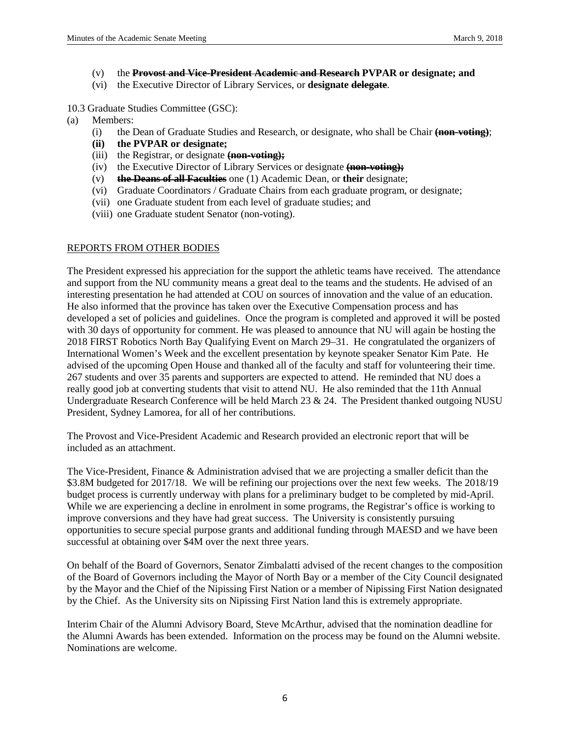- (v) the **Provost and Vice-President Academic and Research PVPAR or designate; and**
- (vi) the Executive Director of Library Services, or **designate delegate**.

10.3 Graduate Studies Committee (GSC):

- (a) Members:
	- (i) the Dean of Graduate Studies and Research, or designate, who shall be Chair **(non-voting)**;
	- **(ii) the PVPAR or designate;**
	- (iii) the Registrar, or designate **(non-voting);**
	- (iv) the Executive Director of Library Services or designate **(non-voting);**
	- (v) **the Deans of all Faculties** one (1) Academic Dean, or **their** designate;
	- (vi) Graduate Coordinators / Graduate Chairs from each graduate program, or designate;
	- (vii) one Graduate student from each level of graduate studies; and
	- (viii) one Graduate student Senator (non-voting).

# REPORTS FROM OTHER BODIES

The President expressed his appreciation for the support the athletic teams have received. The attendance and support from the NU community means a great deal to the teams and the students. He advised of an interesting presentation he had attended at COU on sources of innovation and the value of an education. He also informed that the province has taken over the Executive Compensation process and has developed a set of policies and guidelines. Once the program is completed and approved it will be posted with 30 days of opportunity for comment. He was pleased to announce that NU will again be hosting the 2018 FIRST Robotics North Bay Qualifying Event on March 29–31. He congratulated the organizers of International Women's Week and the excellent presentation by keynote speaker Senator Kim Pate. He advised of the upcoming Open House and thanked all of the faculty and staff for volunteering their time. 267 students and over 35 parents and supporters are expected to attend. He reminded that NU does a really good job at converting students that visit to attend NU. He also reminded that the 11th Annual Undergraduate Research Conference will be held March 23 & 24. The President thanked outgoing NUSU President, Sydney Lamorea, for all of her contributions.

The Provost and Vice-President Academic and Research provided an electronic report that will be included as an attachment.

The Vice-President, Finance & Administration advised that we are projecting a smaller deficit than the \$3.8M budgeted for 2017/18. We will be refining our projections over the next few weeks. The 2018/19 budget process is currently underway with plans for a preliminary budget to be completed by mid-April. While we are experiencing a decline in enrolment in some programs, the Registrar's office is working to improve conversions and they have had great success. The University is consistently pursuing opportunities to secure special purpose grants and additional funding through MAESD and we have been successful at obtaining over \$4M over the next three years.

On behalf of the Board of Governors, Senator Zimbalatti advised of the recent changes to the composition of the Board of Governors including the Mayor of North Bay or a member of the City Council designated by the Mayor and the Chief of the Nipissing First Nation or a member of Nipissing First Nation designated by the Chief. As the University sits on Nipissing First Nation land this is extremely appropriate.

Interim Chair of the Alumni Advisory Board, Steve McArthur, advised that the nomination deadline for the Alumni Awards has been extended. Information on the process may be found on the Alumni website. Nominations are welcome.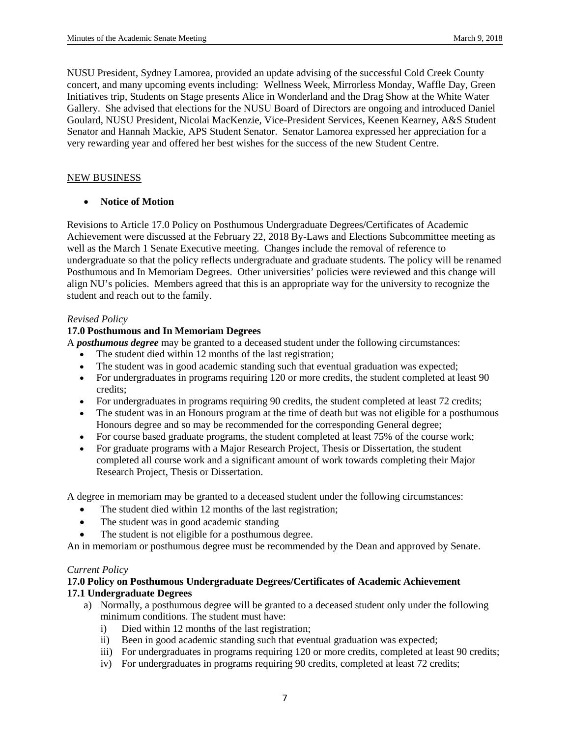NUSU President, Sydney Lamorea, provided an update advising of the successful Cold Creek County concert, and many upcoming events including: Wellness Week, Mirrorless Monday, Waffle Day, Green Initiatives trip, Students on Stage presents Alice in Wonderland and the Drag Show at the White Water Gallery. She advised that elections for the NUSU Board of Directors are ongoing and introduced Daniel Goulard, NUSU President, Nicolai MacKenzie, Vice-President Services, Keenen Kearney, A&S Student Senator and Hannah Mackie, APS Student Senator. Senator Lamorea expressed her appreciation for a very rewarding year and offered her best wishes for the success of the new Student Centre.

## NEW BUSINESS

# • **Notice of Motion**

Revisions to Article 17.0 Policy on Posthumous Undergraduate Degrees/Certificates of Academic Achievement were discussed at the February 22, 2018 By-Laws and Elections Subcommittee meeting as well as the March 1 Senate Executive meeting. Changes include the removal of reference to undergraduate so that the policy reflects undergraduate and graduate students. The policy will be renamed Posthumous and In Memoriam Degrees. Other universities' policies were reviewed and this change will align NU's policies. Members agreed that this is an appropriate way for the university to recognize the student and reach out to the family.

## *Revised Policy*

# **17.0 Posthumous and In Memoriam Degrees**

A *posthumous degree* may be granted to a deceased student under the following circumstances:

- The student died within 12 months of the last registration;
- The student was in good academic standing such that eventual graduation was expected;
- For undergraduates in programs requiring 120 or more credits, the student completed at least 90 credits;
- For undergraduates in programs requiring 90 credits, the student completed at least 72 credits;
- The student was in an Honours program at the time of death but was not eligible for a posthumous Honours degree and so may be recommended for the corresponding General degree;
- For course based graduate programs, the student completed at least 75% of the course work;
- For graduate programs with a Major Research Project, Thesis or Dissertation, the student completed all course work and a significant amount of work towards completing their Major Research Project, Thesis or Dissertation.

A degree in memoriam may be granted to a deceased student under the following circumstances:

- The student died within 12 months of the last registration;
- The student was in good academic standing
- The student is not eligible for a posthumous degree.

An in memoriam or posthumous degree must be recommended by the Dean and approved by Senate.

#### *Current Policy*

# **17.0 Policy on Posthumous Undergraduate Degrees/Certificates of Academic Achievement 17.1 Undergraduate Degrees**

- a) Normally, a posthumous degree will be granted to a deceased student only under the following minimum conditions. The student must have:
	- i) Died within 12 months of the last registration;
	- ii) Been in good academic standing such that eventual graduation was expected;
	- iii) For undergraduates in programs requiring 120 or more credits, completed at least 90 credits;
	- iv) For undergraduates in programs requiring 90 credits, completed at least 72 credits;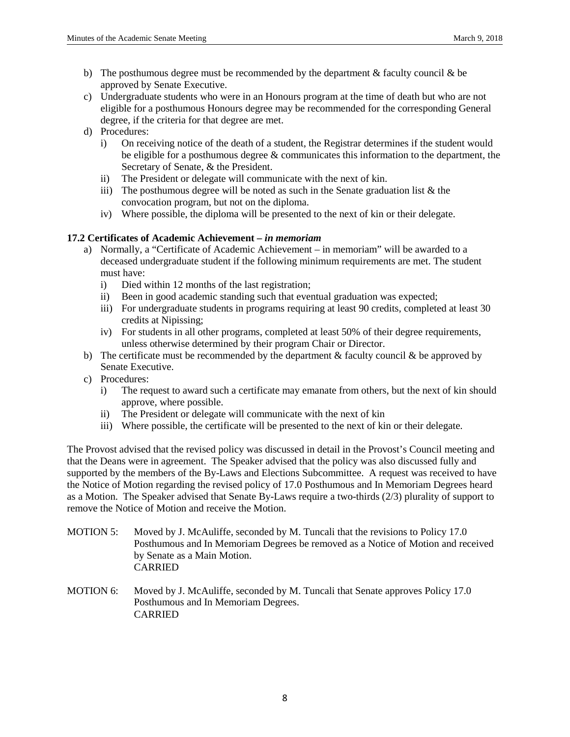- b) The posthumous degree must be recommended by the department  $\&$  faculty council  $\&$  be approved by Senate Executive.
- c) Undergraduate students who were in an Honours program at the time of death but who are not eligible for a posthumous Honours degree may be recommended for the corresponding General degree, if the criteria for that degree are met.
- d) Procedures:
	- i) On receiving notice of the death of a student, the Registrar determines if the student would be eligible for a posthumous degree  $\&$  communicates this information to the department, the Secretary of Senate, & the President.
	- ii) The President or delegate will communicate with the next of kin.
	- iii) The posthumous degree will be noted as such in the Senate graduation list  $\&$  the convocation program, but not on the diploma.
	- iv) Where possible, the diploma will be presented to the next of kin or their delegate.

# **17.2 Certificates of Academic Achievement –** *in memoriam*

- a) Normally, a "Certificate of Academic Achievement in memoriam" will be awarded to a deceased undergraduate student if the following minimum requirements are met. The student must have:
	- i) Died within 12 months of the last registration;
	- ii) Been in good academic standing such that eventual graduation was expected;
	- iii) For undergraduate students in programs requiring at least 90 credits, completed at least 30 credits at Nipissing;
	- iv) For students in all other programs, completed at least 50% of their degree requirements, unless otherwise determined by their program Chair or Director.
- b) The certificate must be recommended by the department  $\&$  faculty council  $\&$  be approved by Senate Executive.
- c) Procedures:
	- i) The request to award such a certificate may emanate from others, but the next of kin should approve, where possible.
	- ii) The President or delegate will communicate with the next of kin
	- iii) Where possible, the certificate will be presented to the next of kin or their delegate.

The Provost advised that the revised policy was discussed in detail in the Provost's Council meeting and that the Deans were in agreement. The Speaker advised that the policy was also discussed fully and supported by the members of the By-Laws and Elections Subcommittee. A request was received to have the Notice of Motion regarding the revised policy of 17.0 Posthumous and In Memoriam Degrees heard as a Motion. The Speaker advised that Senate By-Laws require a two-thirds (2/3) plurality of support to remove the Notice of Motion and receive the Motion.

- MOTION 5: Moved by J. McAuliffe, seconded by M. Tuncali that the revisions to Policy 17.0 Posthumous and In Memoriam Degrees be removed as a Notice of Motion and received by Senate as a Main Motion. CARRIED
- MOTION 6: Moved by J. McAuliffe, seconded by M. Tuncali that Senate approves Policy 17.0 Posthumous and In Memoriam Degrees. CARRIED